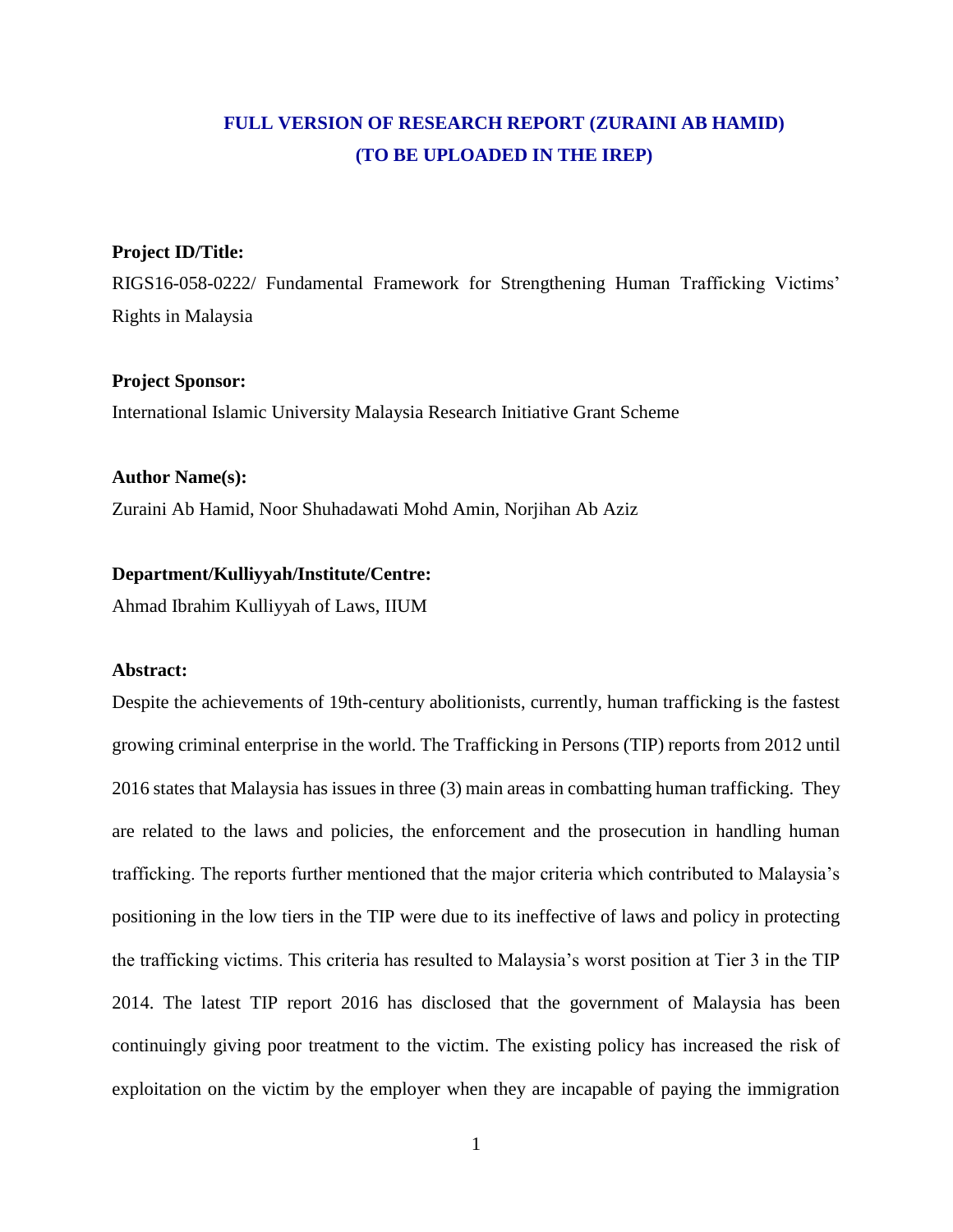# **FULL VERSION OF RESEARCH REPORT (ZURAINI AB HAMID) (TO BE UPLOADED IN THE IREP)**

# **Project ID/Title:**

RIGS16-058-0222/ Fundamental Framework for Strengthening Human Trafficking Victims' Rights in Malaysia

# **Project Sponsor:**

International Islamic University Malaysia Research Initiative Grant Scheme

#### **Author Name(s):**

Zuraini Ab Hamid, Noor Shuhadawati Mohd Amin, Norjihan Ab Aziz

# **Department/Kulliyyah/Institute/Centre:**

Ahmad Ibrahim Kulliyyah of Laws, IIUM

#### **Abstract:**

Despite the achievements of 19th-century abolitionists, currently, human trafficking is the fastest growing criminal enterprise in the world. The Trafficking in Persons (TIP) reports from 2012 until 2016 states that Malaysia has issues in three (3) main areas in combatting human trafficking. They are related to the laws and policies, the enforcement and the prosecution in handling human trafficking. The reports further mentioned that the major criteria which contributed to Malaysia's positioning in the low tiers in the TIP were due to its ineffective of laws and policy in protecting the trafficking victims. This criteria has resulted to Malaysia's worst position at Tier 3 in the TIP 2014. The latest TIP report 2016 has disclosed that the government of Malaysia has been continuingly giving poor treatment to the victim. The existing policy has increased the risk of exploitation on the victim by the employer when they are incapable of paying the immigration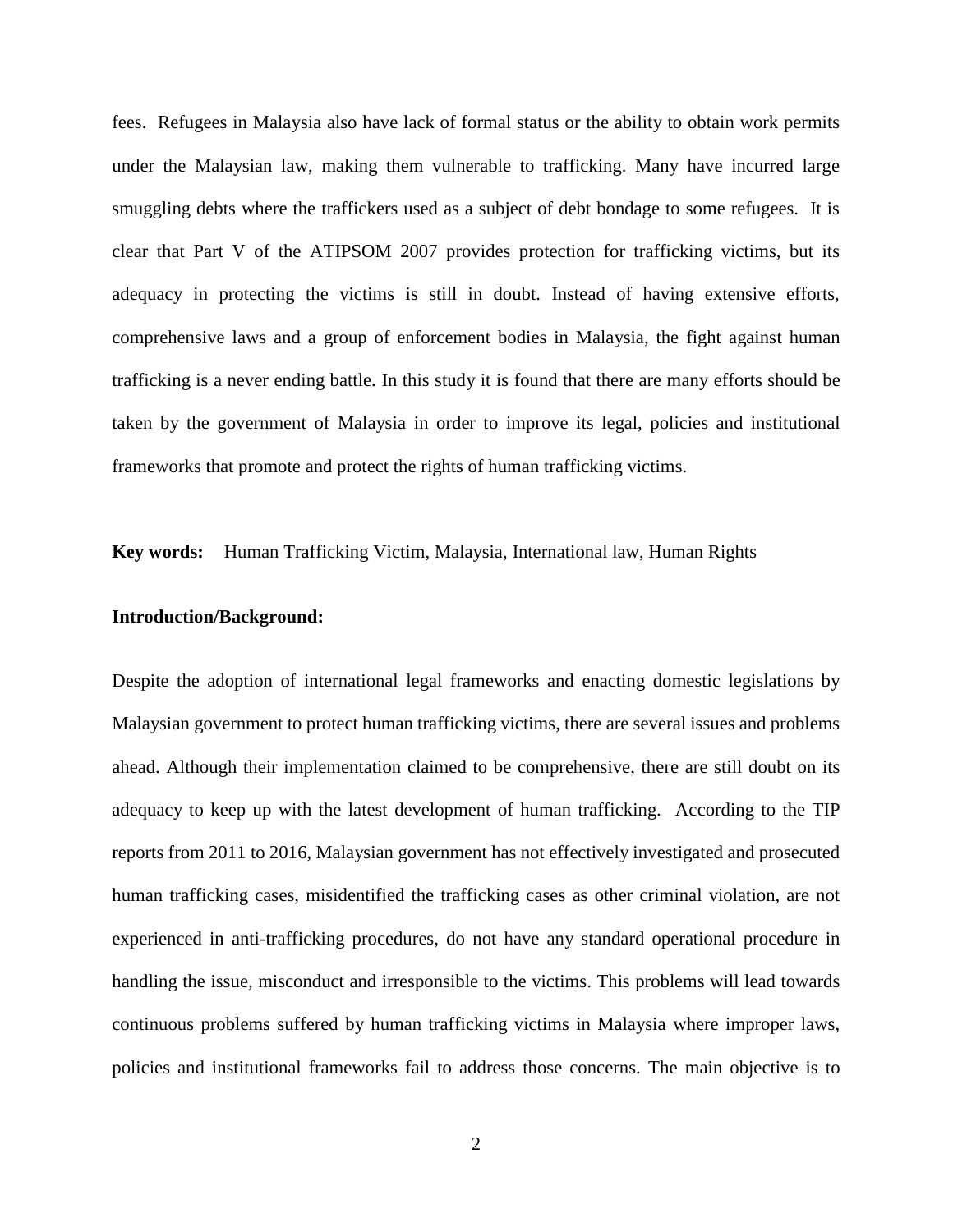fees. Refugees in Malaysia also have lack of formal status or the ability to obtain work permits under the Malaysian law, making them vulnerable to trafficking. Many have incurred large smuggling debts where the traffickers used as a subject of debt bondage to some refugees. It is clear that Part V of the ATIPSOM 2007 provides protection for trafficking victims, but its adequacy in protecting the victims is still in doubt. Instead of having extensive efforts, comprehensive laws and a group of enforcement bodies in Malaysia, the fight against human trafficking is a never ending battle. In this study it is found that there are many efforts should be taken by the government of Malaysia in order to improve its legal, policies and institutional frameworks that promote and protect the rights of human trafficking victims.

**Key words:** Human Trafficking Victim, Malaysia, International law, Human Rights

#### **Introduction/Background:**

Despite the adoption of international legal frameworks and enacting domestic legislations by Malaysian government to protect human trafficking victims, there are several issues and problems ahead. Although their implementation claimed to be comprehensive, there are still doubt on its adequacy to keep up with the latest development of human trafficking. According to the TIP reports from 2011 to 2016, Malaysian government has not effectively investigated and prosecuted human trafficking cases, misidentified the trafficking cases as other criminal violation, are not experienced in anti-trafficking procedures, do not have any standard operational procedure in handling the issue, misconduct and irresponsible to the victims. This problems will lead towards continuous problems suffered by human trafficking victims in Malaysia where improper laws, policies and institutional frameworks fail to address those concerns. The main objective is to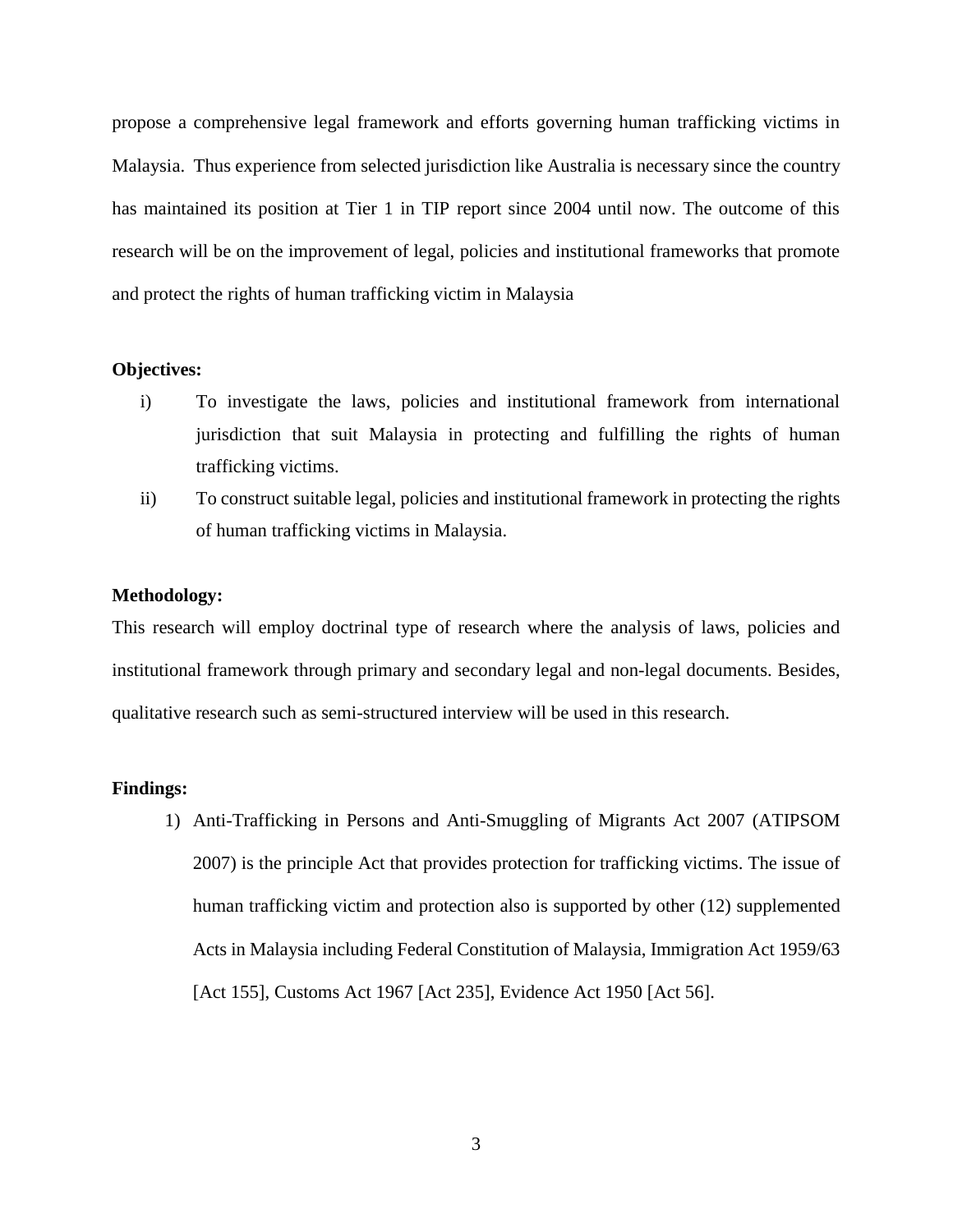propose a comprehensive legal framework and efforts governing human trafficking victims in Malaysia. Thus experience from selected jurisdiction like Australia is necessary since the country has maintained its position at Tier 1 in TIP report since 2004 until now. The outcome of this research will be on the improvement of legal, policies and institutional frameworks that promote and protect the rights of human trafficking victim in Malaysia

### **Objectives:**

- i) To investigate the laws, policies and institutional framework from international jurisdiction that suit Malaysia in protecting and fulfilling the rights of human trafficking victims.
- ii) To construct suitable legal, policies and institutional framework in protecting the rights of human trafficking victims in Malaysia.

#### **Methodology:**

This research will employ doctrinal type of research where the analysis of laws, policies and institutional framework through primary and secondary legal and non-legal documents. Besides, qualitative research such as semi-structured interview will be used in this research.

#### **Findings:**

1) Anti-Trafficking in Persons and Anti-Smuggling of Migrants Act 2007 (ATIPSOM 2007) is the principle Act that provides protection for trafficking victims. The issue of human trafficking victim and protection also is supported by other (12) supplemented Acts in Malaysia including Federal Constitution of Malaysia, Immigration Act 1959/63 [Act 155], Customs Act 1967 [Act 235], Evidence Act 1950 [Act 56].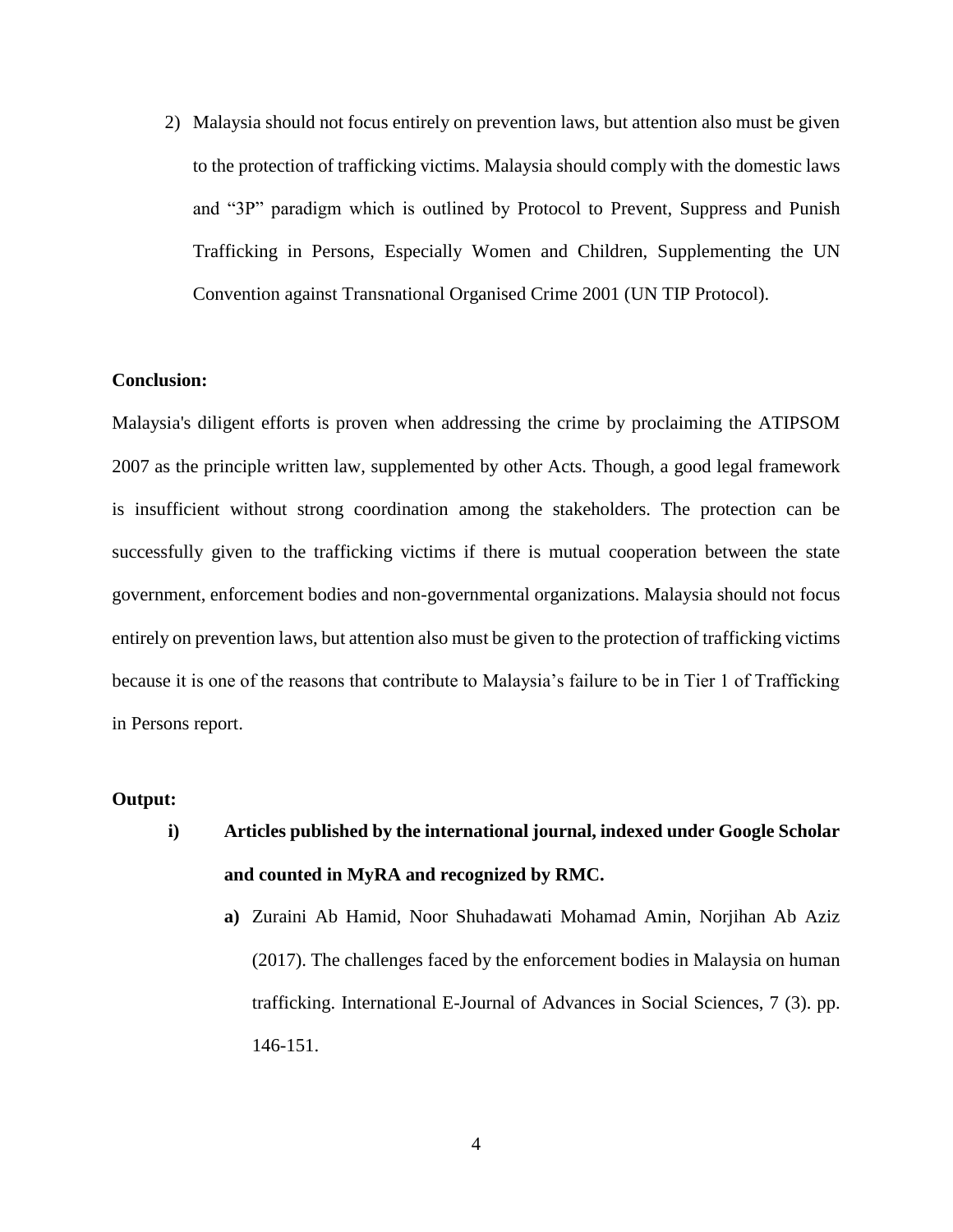2) Malaysia should not focus entirely on prevention laws, but attention also must be given to the protection of trafficking victims. Malaysia should comply with the domestic laws and "3P" paradigm which is outlined by Protocol to Prevent, Suppress and Punish Trafficking in Persons, Especially Women and Children, Supplementing the UN Convention against Transnational Organised Crime 2001 (UN TIP Protocol).

# **Conclusion:**

Malaysia's diligent efforts is proven when addressing the crime by proclaiming the ATIPSOM 2007 as the principle written law, supplemented by other Acts. Though, a good legal framework is insufficient without strong coordination among the stakeholders. The protection can be successfully given to the trafficking victims if there is mutual cooperation between the state government, enforcement bodies and non-governmental organizations. Malaysia should not focus entirely on prevention laws, but attention also must be given to the protection of trafficking victims because it is one of the reasons that contribute to Malaysia's failure to be in Tier 1 of Trafficking in Persons report.

# **Output:**

- **i) Articles published by the international journal, indexed under Google Scholar and counted in MyRA and recognized by RMC.**
	- **a)** Zuraini Ab Hamid, Noor Shuhadawati Mohamad Amin, Norjihan Ab Aziz (2017). The challenges faced by the enforcement bodies in Malaysia on human trafficking. International E-Journal of Advances in Social Sciences, 7 (3). pp. 146-151.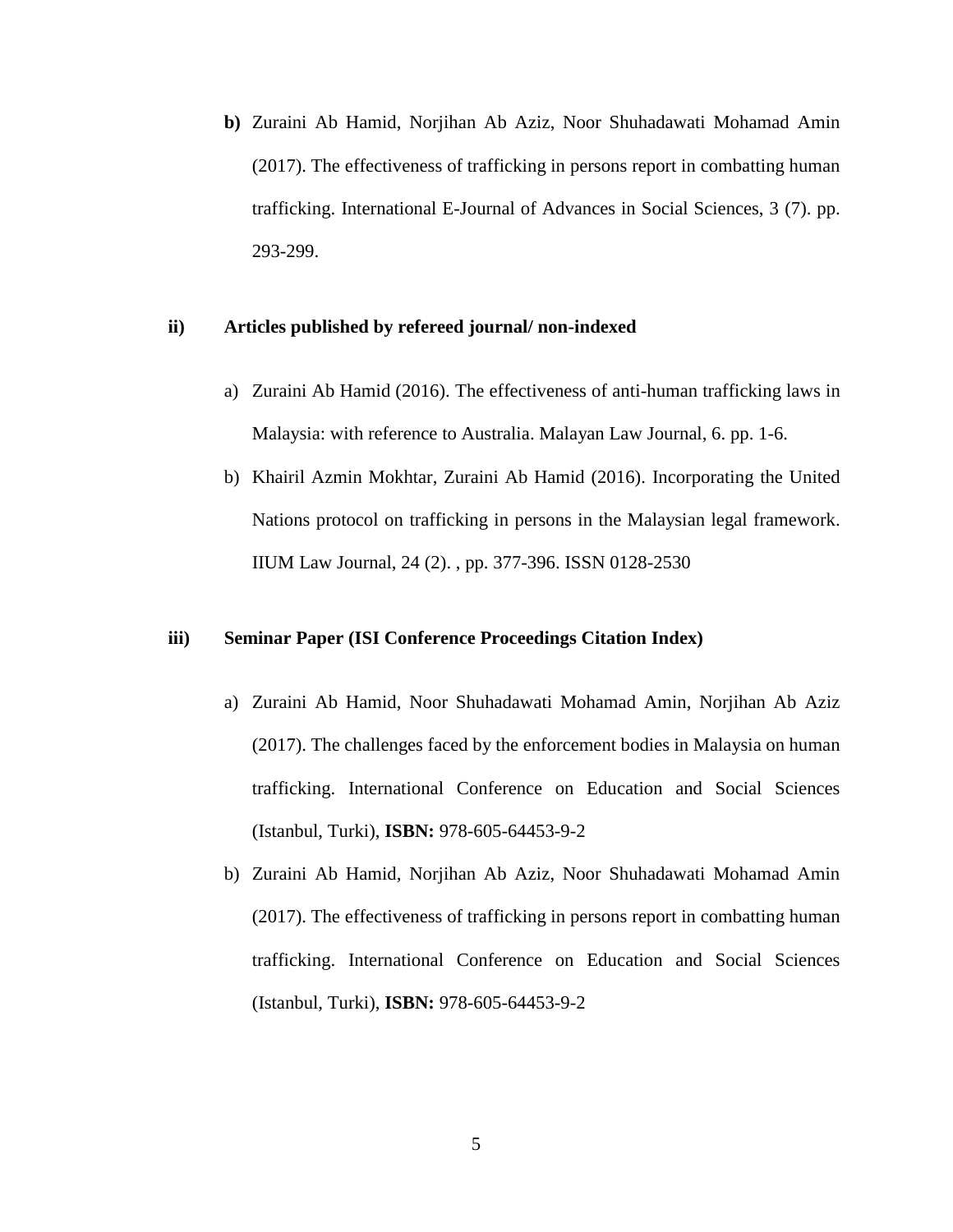**b)** Zuraini Ab Hamid, Norjihan Ab Aziz, Noor Shuhadawati Mohamad Amin (2017). The effectiveness of trafficking in persons report in combatting human trafficking. International E-Journal of Advances in Social Sciences, 3 (7). pp. 293-299.

# **ii) Articles published by refereed journal/ non-indexed**

- a) Zuraini Ab Hamid (2016). The effectiveness of anti-human trafficking laws in Malaysia: with reference to Australia. Malayan Law Journal, 6. pp. 1-6.
- b) Khairil Azmin Mokhtar, Zuraini Ab Hamid (2016). Incorporating the United Nations protocol on trafficking in persons in the Malaysian legal framework. IIUM Law Journal, 24 (2). , pp. 377-396. ISSN 0128-2530

#### **iii) Seminar Paper (ISI Conference Proceedings Citation Index)**

- a) Zuraini Ab Hamid, Noor Shuhadawati Mohamad Amin, Norjihan Ab Aziz (2017). The challenges faced by the enforcement bodies in Malaysia on human trafficking. International Conference on Education and Social Sciences (Istanbul, Turki), **ISBN:** 978-605-64453-9-2
- b) Zuraini Ab Hamid, Norjihan Ab Aziz, Noor Shuhadawati Mohamad Amin (2017). The effectiveness of trafficking in persons report in combatting human trafficking. International Conference on Education and Social Sciences (Istanbul, Turki), **ISBN:** 978-605-64453-9-2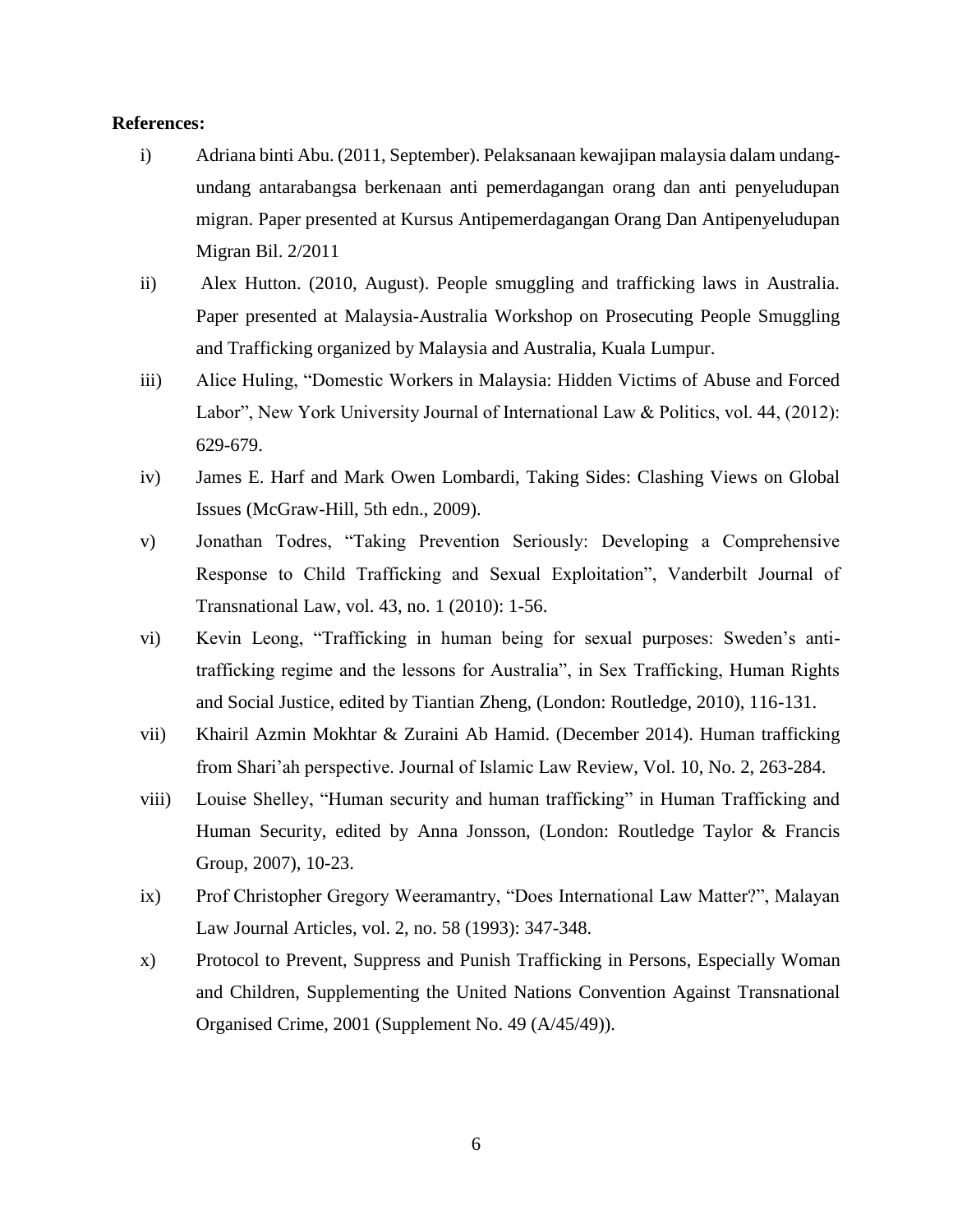# **References:**

- i) Adriana binti Abu. (2011, September). Pelaksanaan kewajipan malaysia dalam undangundang antarabangsa berkenaan anti pemerdagangan orang dan anti penyeludupan migran. Paper presented at Kursus Antipemerdagangan Orang Dan Antipenyeludupan Migran Bil. 2/2011
- ii) Alex Hutton. (2010, August). People smuggling and trafficking laws in Australia. Paper presented at Malaysia-Australia Workshop on Prosecuting People Smuggling and Trafficking organized by Malaysia and Australia, Kuala Lumpur.
- iii) Alice Huling, "Domestic Workers in Malaysia: Hidden Victims of Abuse and Forced Labor", New York University Journal of International Law & Politics, vol. 44, (2012): 629-679.
- iv) James E. Harf and Mark Owen Lombardi, Taking Sides: Clashing Views on Global Issues (McGraw-Hill, 5th edn., 2009).
- v) Jonathan Todres, "Taking Prevention Seriously: Developing a Comprehensive Response to Child Trafficking and Sexual Exploitation", Vanderbilt Journal of Transnational Law, vol. 43, no. 1 (2010): 1-56.
- vi) Kevin Leong, "Trafficking in human being for sexual purposes: Sweden's antitrafficking regime and the lessons for Australia", in Sex Trafficking, Human Rights and Social Justice, edited by Tiantian Zheng, (London: Routledge, 2010), 116-131.
- vii) Khairil Azmin Mokhtar & Zuraini Ab Hamid. (December 2014). Human trafficking from Shari'ah perspective. Journal of Islamic Law Review, Vol. 10, No. 2, 263-284.
- viii) Louise Shelley, "Human security and human trafficking" in Human Trafficking and Human Security, edited by Anna Jonsson, (London: Routledge Taylor & Francis Group, 2007), 10-23.
- ix) Prof Christopher Gregory Weeramantry, "Does International Law Matter?", Malayan Law Journal Articles, vol. 2, no. 58 (1993): 347-348.
- x) Protocol to Prevent, Suppress and Punish Trafficking in Persons, Especially Woman and Children, Supplementing the United Nations Convention Against Transnational Organised Crime, 2001 (Supplement No. 49 (A/45/49)).